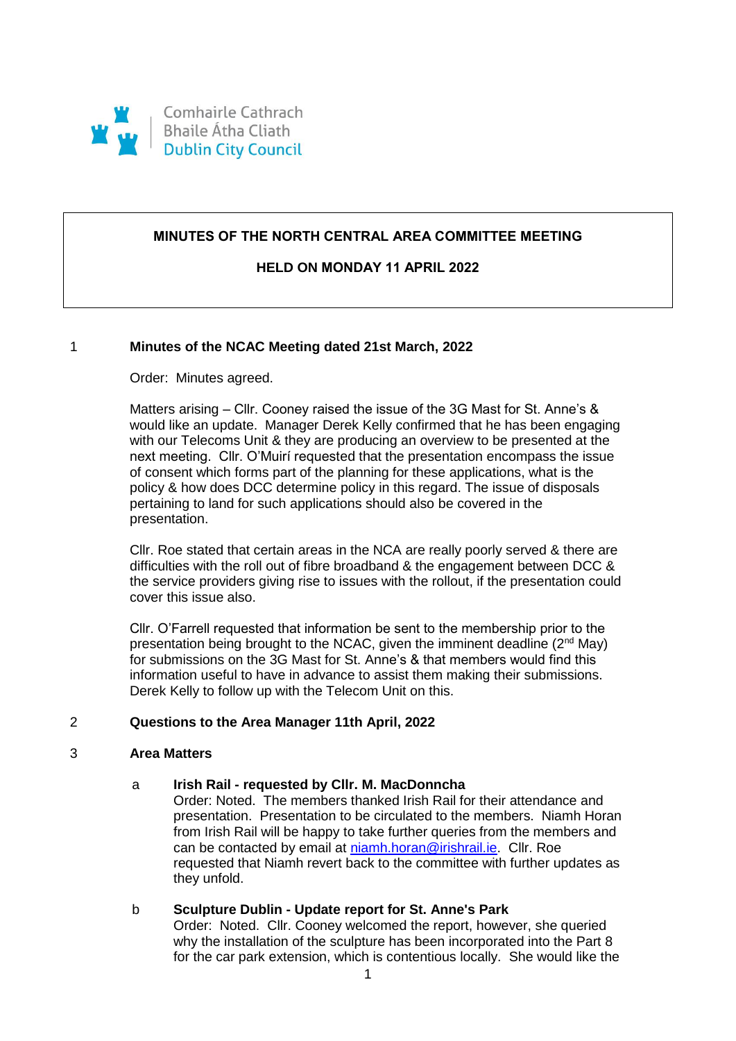

# **MINUTES OF THE NORTH CENTRAL AREA COMMITTEE MEETING**

# **HELD ON MONDAY 11 APRIL 2022**

## 1 **Minutes of the NCAC Meeting dated 21st March, 2022**

## Order: Minutes agreed.

Matters arising – Cllr. Cooney raised the issue of the 3G Mast for St. Anne's & would like an update. Manager Derek Kelly confirmed that he has been engaging with our Telecoms Unit & they are producing an overview to be presented at the next meeting. Cllr. O'Muirí requested that the presentation encompass the issue of consent which forms part of the planning for these applications, what is the policy & how does DCC determine policy in this regard. The issue of disposals pertaining to land for such applications should also be covered in the presentation.

Cllr. Roe stated that certain areas in the NCA are really poorly served & there are difficulties with the roll out of fibre broadband & the engagement between DCC & the service providers giving rise to issues with the rollout, if the presentation could cover this issue also.

Cllr. O'Farrell requested that information be sent to the membership prior to the presentation being brought to the NCAC, given the imminent deadline  $(2^{nd}$  May) for submissions on the 3G Mast for St. Anne's & that members would find this information useful to have in advance to assist them making their submissions. Derek Kelly to follow up with the Telecom Unit on this.

### 2 **Questions to the Area Manager 11th April, 2022**

### 3 **Area Matters**

## a **Irish Rail - requested by Cllr. M. MacDonncha**

Order: Noted. The members thanked Irish Rail for their attendance and presentation. Presentation to be circulated to the members. Niamh Horan from Irish Rail will be happy to take further queries from the members and can be contacted by email at [niamh.horan@irishrail.ie.](mailto:niamh.horan@irishrail.ie) Cllr. Roe requested that Niamh revert back to the committee with further updates as they unfold.

### b **Sculpture Dublin - Update report for St. Anne's Park**

Order: Noted. Cllr. Cooney welcomed the report, however, she queried why the installation of the sculpture has been incorporated into the Part 8 for the car park extension, which is contentious locally. She would like the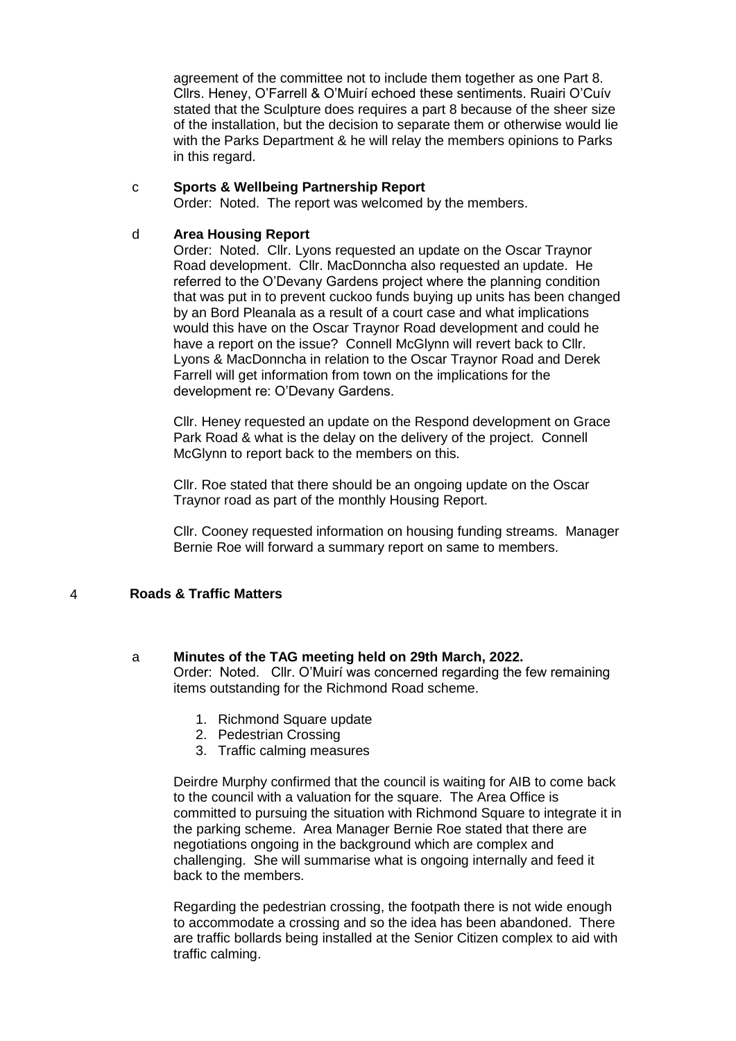agreement of the committee not to include them together as one Part 8. Cllrs. Heney, O'Farrell & O'Muirí echoed these sentiments. Ruairi O'Cuív stated that the Sculpture does requires a part 8 because of the sheer size of the installation, but the decision to separate them or otherwise would lie with the Parks Department & he will relay the members opinions to Parks in this regard.

## c **Sports & Wellbeing Partnership Report**

Order: Noted. The report was welcomed by the members.

## d **Area Housing Report**

Order: Noted. Cllr. Lyons requested an update on the Oscar Traynor Road development. Cllr. MacDonncha also requested an update. He referred to the O'Devany Gardens project where the planning condition that was put in to prevent cuckoo funds buying up units has been changed by an Bord Pleanala as a result of a court case and what implications would this have on the Oscar Traynor Road development and could he have a report on the issue? Connell McGlynn will revert back to Cllr. Lyons & MacDonncha in relation to the Oscar Traynor Road and Derek Farrell will get information from town on the implications for the development re: O'Devany Gardens.

Cllr. Heney requested an update on the Respond development on Grace Park Road & what is the delay on the delivery of the project. Connell McGlynn to report back to the members on this.

Cllr. Roe stated that there should be an ongoing update on the Oscar Traynor road as part of the monthly Housing Report.

Cllr. Cooney requested information on housing funding streams. Manager Bernie Roe will forward a summary report on same to members.

## 4 **Roads & Traffic Matters**

### a **Minutes of the TAG meeting held on 29th March, 2022.**

Order: Noted. Cllr. O'Muirí was concerned regarding the few remaining items outstanding for the Richmond Road scheme.

- 1. Richmond Square update
- 2. Pedestrian Crossing
- 3. Traffic calming measures

Deirdre Murphy confirmed that the council is waiting for AIB to come back to the council with a valuation for the square. The Area Office is committed to pursuing the situation with Richmond Square to integrate it in the parking scheme. Area Manager Bernie Roe stated that there are negotiations ongoing in the background which are complex and challenging. She will summarise what is ongoing internally and feed it back to the members.

Regarding the pedestrian crossing, the footpath there is not wide enough to accommodate a crossing and so the idea has been abandoned. There are traffic bollards being installed at the Senior Citizen complex to aid with traffic calming.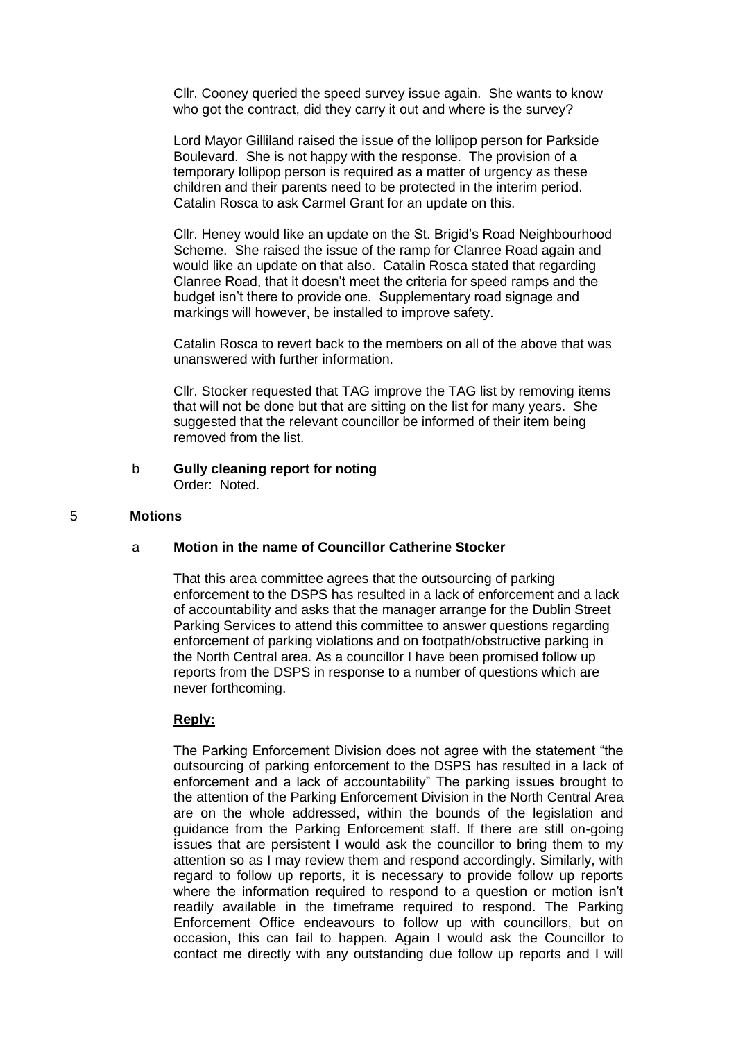Cllr. Cooney queried the speed survey issue again. She wants to know who got the contract, did they carry it out and where is the survey?

Lord Mayor Gilliland raised the issue of the lollipop person for Parkside Boulevard. She is not happy with the response. The provision of a temporary lollipop person is required as a matter of urgency as these children and their parents need to be protected in the interim period. Catalin Rosca to ask Carmel Grant for an update on this.

Cllr. Heney would like an update on the St. Brigid's Road Neighbourhood Scheme. She raised the issue of the ramp for Clanree Road again and would like an update on that also. Catalin Rosca stated that regarding Clanree Road, that it doesn't meet the criteria for speed ramps and the budget isn't there to provide one. Supplementary road signage and markings will however, be installed to improve safety.

Catalin Rosca to revert back to the members on all of the above that was unanswered with further information.

Cllr. Stocker requested that TAG improve the TAG list by removing items that will not be done but that are sitting on the list for many years. She suggested that the relevant councillor be informed of their item being removed from the list.

### b **Gully cleaning report for noting** Order: Noted.

#### 5 **Motions**

#### a **Motion in the name of Councillor Catherine Stocker**

That this area committee agrees that the outsourcing of parking enforcement to the DSPS has resulted in a lack of enforcement and a lack of accountability and asks that the manager arrange for the Dublin Street Parking Services to attend this committee to answer questions regarding enforcement of parking violations and on footpath/obstructive parking in the North Central area. As a councillor I have been promised follow up reports from the DSPS in response to a number of questions which are never forthcoming.

#### **Reply:**

The Parking Enforcement Division does not agree with the statement "the outsourcing of parking enforcement to the DSPS has resulted in a lack of enforcement and a lack of accountability" The parking issues brought to the attention of the Parking Enforcement Division in the North Central Area are on the whole addressed, within the bounds of the legislation and guidance from the Parking Enforcement staff. If there are still on-going issues that are persistent I would ask the councillor to bring them to my attention so as I may review them and respond accordingly. Similarly, with regard to follow up reports, it is necessary to provide follow up reports where the information required to respond to a question or motion isn't readily available in the timeframe required to respond. The Parking Enforcement Office endeavours to follow up with councillors, but on occasion, this can fail to happen. Again I would ask the Councillor to contact me directly with any outstanding due follow up reports and I will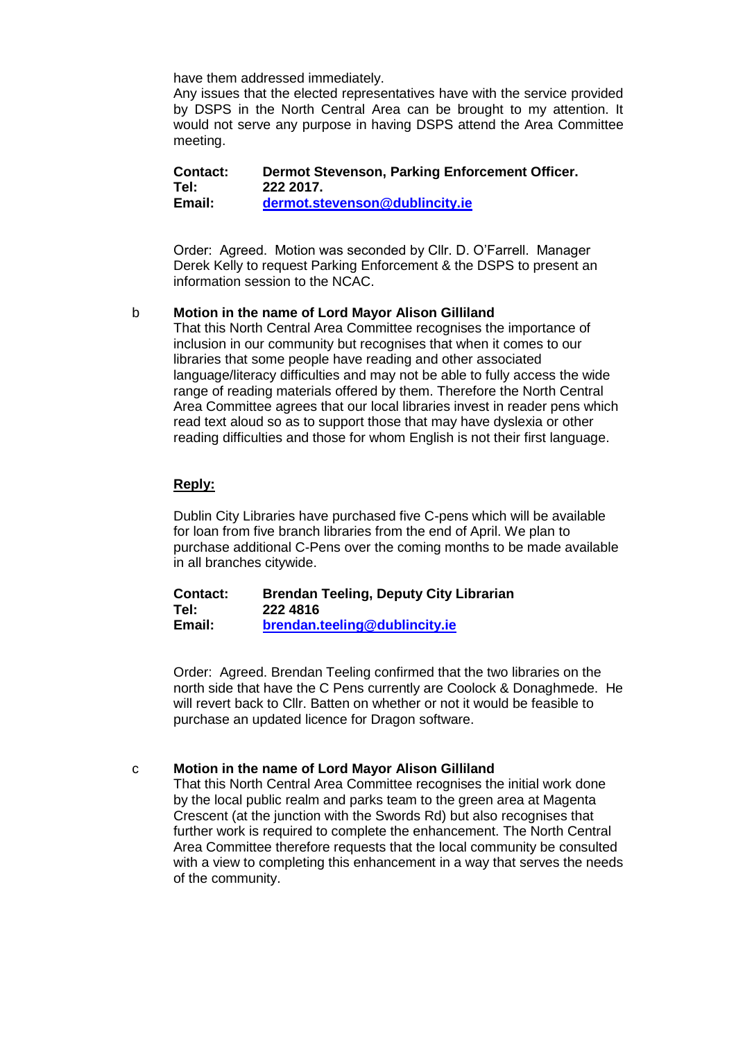have them addressed immediately.

Any issues that the elected representatives have with the service provided by DSPS in the North Central Area can be brought to my attention. It would not serve any purpose in having DSPS attend the Area Committee meeting.

**Contact: Dermot Stevenson, Parking Enforcement Officer. Tel: 222 2017. Email: [dermot.stevenson@dublincity.ie](mailto:dermot.stevenson@dublincity.ie)**

Order: Agreed. Motion was seconded by Cllr. D. O'Farrell. Manager Derek Kelly to request Parking Enforcement & the DSPS to present an information session to the NCAC.

## b **Motion in the name of Lord Mayor Alison Gilliland**

That this North Central Area Committee recognises the importance of inclusion in our community but recognises that when it comes to our libraries that some people have reading and other associated language/literacy difficulties and may not be able to fully access the wide range of reading materials offered by them. Therefore the North Central Area Committee agrees that our local libraries invest in reader pens which read text aloud so as to support those that may have dyslexia or other reading difficulties and those for whom English is not their first language.

# **Reply:**

Dublin City Libraries have purchased five C-pens which will be available for loan from five branch libraries from the end of April. We plan to purchase additional C-Pens over the coming months to be made available in all branches citywide.

**Contact: Brendan Teeling, Deputy City Librarian Tel: 222 4816 Email: [brendan.teeling@dublincity.ie](mailto:brendan.teeling@dublincity.ie)**

Order: Agreed. Brendan Teeling confirmed that the two libraries on the north side that have the C Pens currently are Coolock & Donaghmede. He will revert back to Cllr. Batten on whether or not it would be feasible to purchase an updated licence for Dragon software.

## c **Motion in the name of Lord Mayor Alison Gilliland**

That this North Central Area Committee recognises the initial work done by the local public realm and parks team to the green area at Magenta Crescent (at the junction with the Swords Rd) but also recognises that further work is required to complete the enhancement. The North Central Area Committee therefore requests that the local community be consulted with a view to completing this enhancement in a way that serves the needs of the community.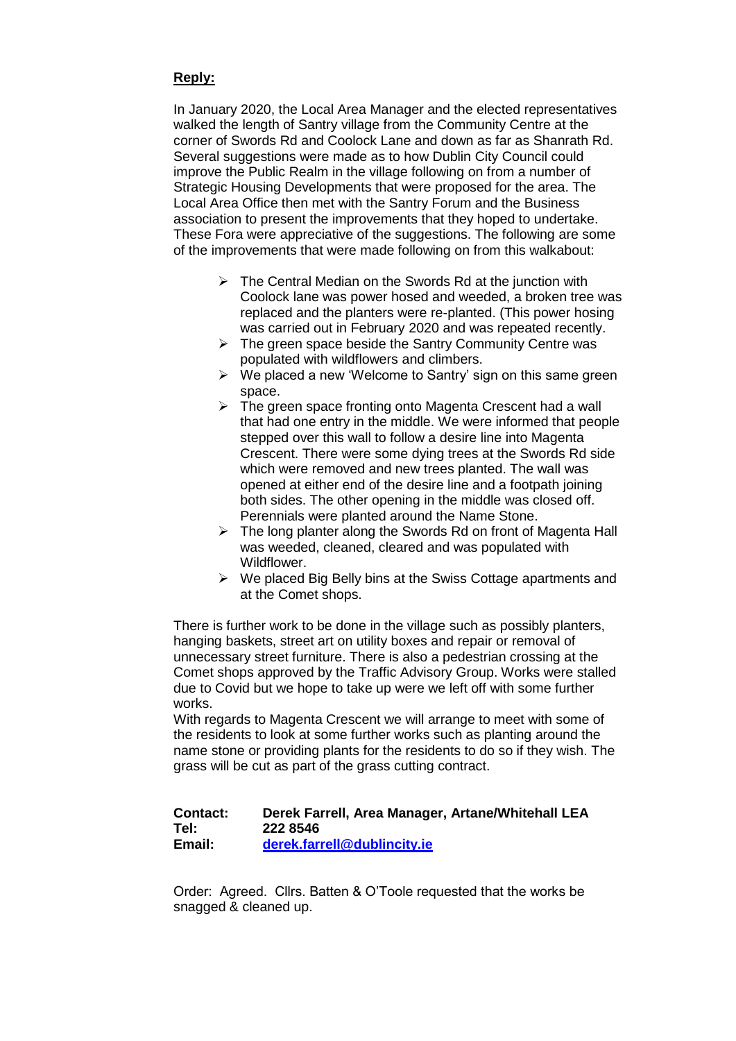# **Reply:**

In January 2020, the Local Area Manager and the elected representatives walked the length of Santry village from the Community Centre at the corner of Swords Rd and Coolock Lane and down as far as Shanrath Rd. Several suggestions were made as to how Dublin City Council could improve the Public Realm in the village following on from a number of Strategic Housing Developments that were proposed for the area. The Local Area Office then met with the Santry Forum and the Business association to present the improvements that they hoped to undertake. These Fora were appreciative of the suggestions. The following are some of the improvements that were made following on from this walkabout:

- $\triangleright$  The Central Median on the Swords Rd at the junction with Coolock lane was power hosed and weeded, a broken tree was replaced and the planters were re-planted. (This power hosing was carried out in February 2020 and was repeated recently.
- $\triangleright$  The green space beside the Santry Community Centre was populated with wildflowers and climbers.
- $\triangleright$  We placed a new 'Welcome to Santry' sign on this same green space.
- $\triangleright$  The green space fronting onto Magenta Crescent had a wall that had one entry in the middle. We were informed that people stepped over this wall to follow a desire line into Magenta Crescent. There were some dying trees at the Swords Rd side which were removed and new trees planted. The wall was opened at either end of the desire line and a footpath joining both sides. The other opening in the middle was closed off. Perennials were planted around the Name Stone.
- $\triangleright$  The long planter along the Swords Rd on front of Magenta Hall was weeded, cleaned, cleared and was populated with Wildflower.
- $\triangleright$  We placed Big Belly bins at the Swiss Cottage apartments and at the Comet shops.

There is further work to be done in the village such as possibly planters, hanging baskets, street art on utility boxes and repair or removal of unnecessary street furniture. There is also a pedestrian crossing at the Comet shops approved by the Traffic Advisory Group. Works were stalled due to Covid but we hope to take up were we left off with some further works.

With regards to Magenta Crescent we will arrange to meet with some of the residents to look at some further works such as planting around the name stone or providing plants for the residents to do so if they wish. The grass will be cut as part of the grass cutting contract.

# **Contact: Derek Farrell, Area Manager, Artane/Whitehall LEA Tel: 222 8546 Email: [derek.farrell@dublincity.ie](mailto:derek.farrell@dublincity.ie)**

Order: Agreed. Cllrs. Batten & O'Toole requested that the works be snagged & cleaned up.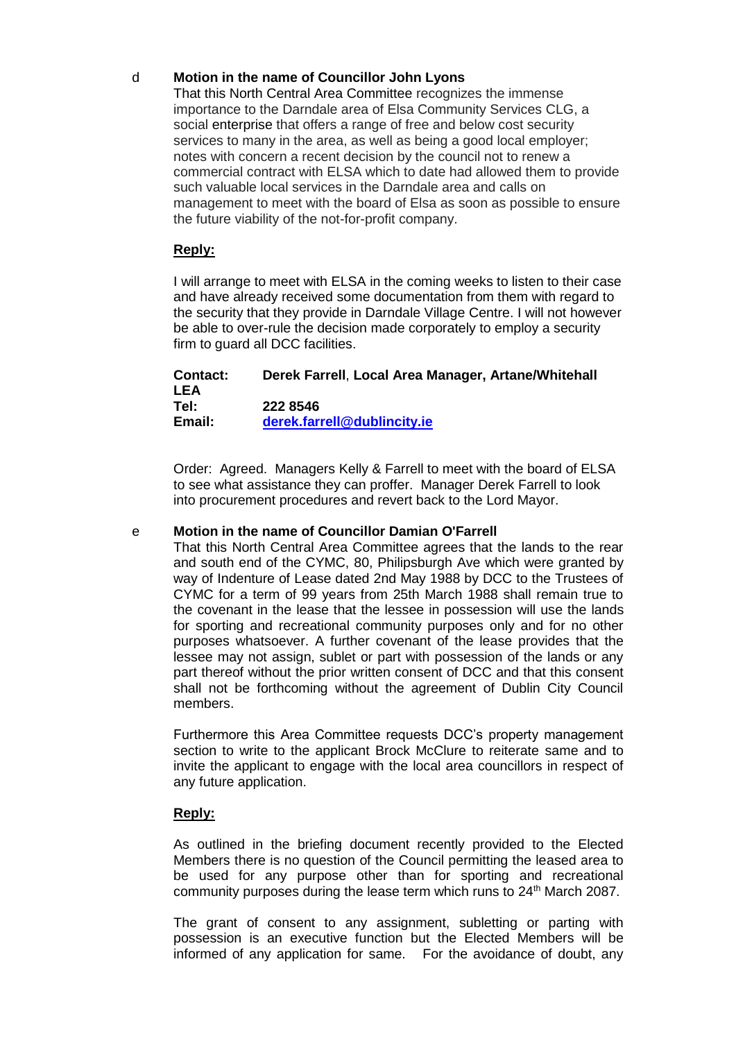# d **Motion in the name of Councillor John Lyons**

That this North Central Area Committee recognizes the immense importance to the Darndale area of Elsa Community Services CLG, a social enterprise that offers a range of free and below cost security services to many in the area, as well as being a good local employer; notes with concern a recent decision by the council not to renew a commercial contract with ELSA which to date had allowed them to provide such valuable local services in the Darndale area and calls on management to meet with the board of Elsa as soon as possible to ensure the future viability of the not-for-profit company.

# **Reply:**

I will arrange to meet with ELSA in the coming weeks to listen to their case and have already received some documentation from them with regard to the security that they provide in Darndale Village Centre. I will not however be able to over-rule the decision made corporately to employ a security firm to guard all DCC facilities.

| <b>Contact:</b> | Derek Farrell, Local Area Manager, Artane/Whitehall |
|-----------------|-----------------------------------------------------|
| LEA             |                                                     |
| Tel:            | 222 8546                                            |
| Email:          | derek.farrell@dublincity.ie                         |

Order: Agreed. Managers Kelly & Farrell to meet with the board of ELSA to see what assistance they can proffer. Manager Derek Farrell to look into procurement procedures and revert back to the Lord Mayor.

## e **Motion in the name of Councillor Damian O'Farrell**

That this North Central Area Committee agrees that the lands to the rear and south end of the CYMC, 80, Philipsburgh Ave which were granted by way of Indenture of Lease dated 2nd May 1988 by DCC to the Trustees of CYMC for a term of 99 years from 25th March 1988 shall remain true to the covenant in the lease that the lessee in possession will use the lands for sporting and recreational community purposes only and for no other purposes whatsoever. A further covenant of the lease provides that the lessee may not assign, sublet or part with possession of the lands or any part thereof without the prior written consent of DCC and that this consent shall not be forthcoming without the agreement of Dublin City Council members.

Furthermore this Area Committee requests DCC's property management section to write to the applicant Brock McClure to reiterate same and to invite the applicant to engage with the local area councillors in respect of any future application.

## **Reply:**

As outlined in the briefing document recently provided to the Elected Members there is no question of the Council permitting the leased area to be used for any purpose other than for sporting and recreational community purposes during the lease term which runs to 24<sup>th</sup> March 2087.

The grant of consent to any assignment, subletting or parting with possession is an executive function but the Elected Members will be informed of any application for same. For the avoidance of doubt, any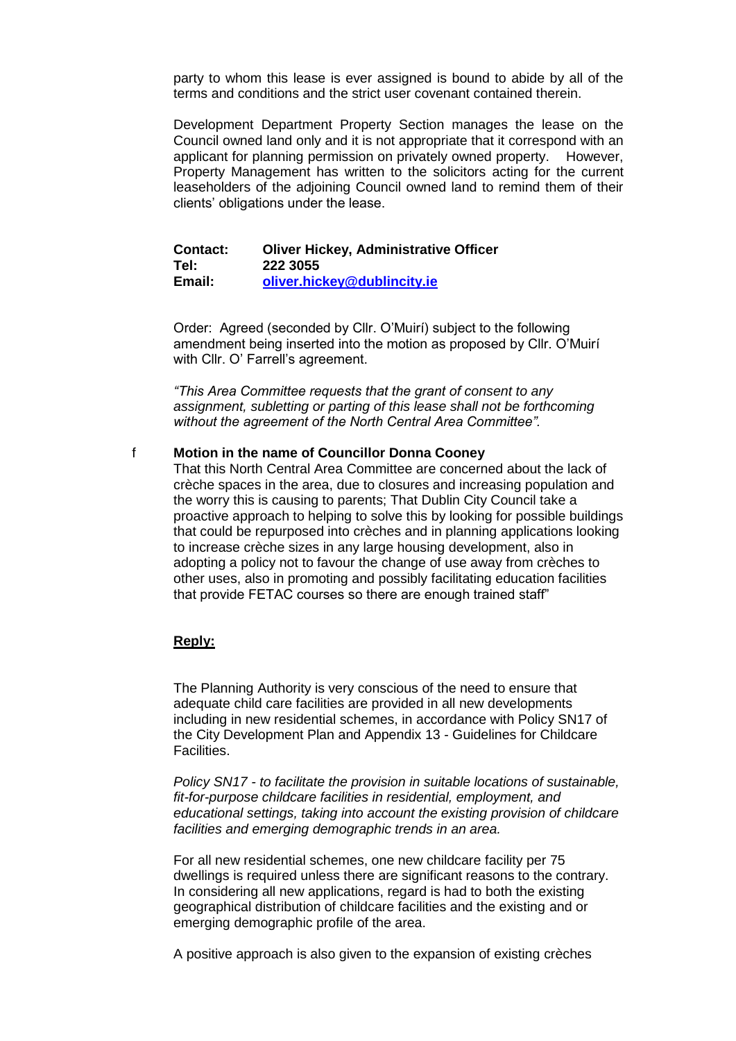party to whom this lease is ever assigned is bound to abide by all of the terms and conditions and the strict user covenant contained therein.

Development Department Property Section manages the lease on the Council owned land only and it is not appropriate that it correspond with an applicant for planning permission on privately owned property. However, Property Management has written to the solicitors acting for the current leaseholders of the adjoining Council owned land to remind them of their clients' obligations under the lease.

#### **Contact: Oliver Hickey, Administrative Officer Tel: 222 3055 Email: [oliver.hickey@dublincity.ie](mailto:oliver.hickey@dublincity.ie)**

Order: Agreed (seconded by Cllr. O'Muirí) subject to the following amendment being inserted into the motion as proposed by Cllr. O'Muirí with Cllr. O' Farrell's agreement.

*"This Area Committee requests that the grant of consent to any assignment, subletting or parting of this lease shall not be forthcoming without the agreement of the North Central Area Committee".*

## f **Motion in the name of Councillor Donna Cooney**

That this North Central Area Committee are concerned about the lack of crèche spaces in the area, due to closures and increasing population and the worry this is causing to parents; That Dublin City Council take a proactive approach to helping to solve this by looking for possible buildings that could be repurposed into crèches and in planning applications looking to increase crèche sizes in any large housing development, also in adopting a policy not to favour the change of use away from crèches to other uses, also in promoting and possibly facilitating education facilities that provide FETAC courses so there are enough trained staff"

### **Reply:**

The Planning Authority is very conscious of the need to ensure that adequate child care facilities are provided in all new developments including in new residential schemes, in accordance with Policy SN17 of the City Development Plan and Appendix 13 - Guidelines for Childcare Facilities.

*Policy SN17 - to facilitate the provision in suitable locations of sustainable, fit-for-purpose childcare facilities in residential, employment, and educational settings, taking into account the existing provision of childcare facilities and emerging demographic trends in an area.*

For all new residential schemes, one new childcare facility per 75 dwellings is required unless there are significant reasons to the contrary. In considering all new applications, regard is had to both the existing geographical distribution of childcare facilities and the existing and or emerging demographic profile of the area.

A positive approach is also given to the expansion of existing crèches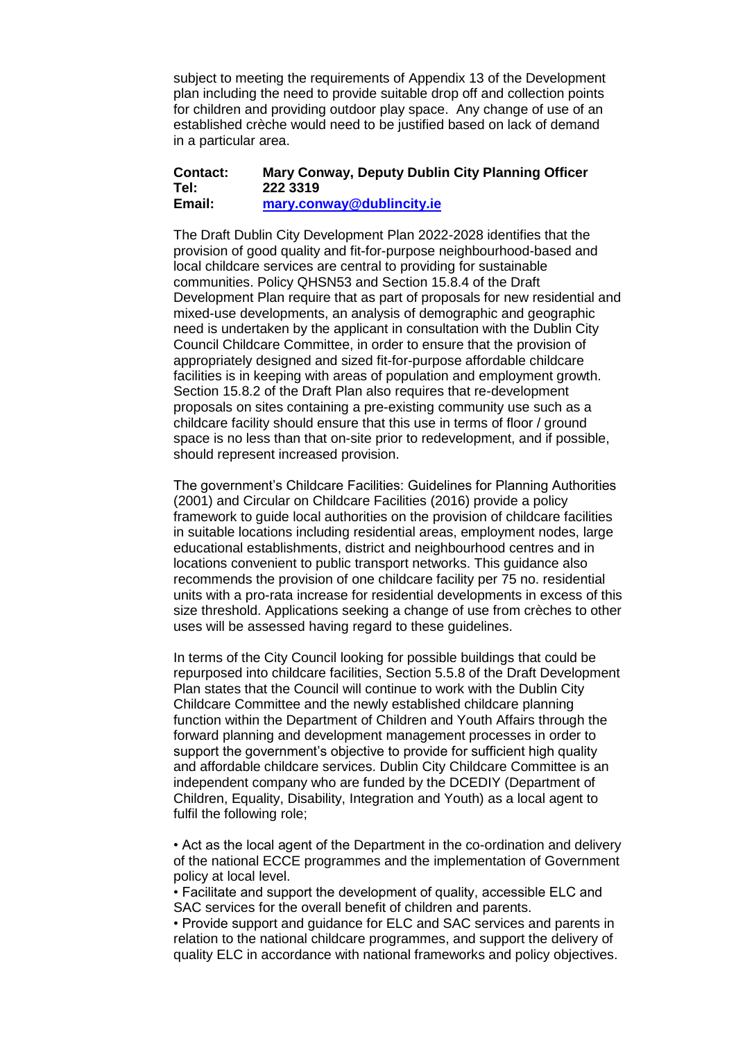subject to meeting the requirements of Appendix 13 of the Development plan including the need to provide suitable drop off and collection points for children and providing outdoor play space. Any change of use of an established crèche would need to be justified based on lack of demand in a particular area.

#### **Contact: Mary Conway, Deputy Dublin City Planning Officer Tel: 222 3319 Email: [mary.conway@dublincity.ie](mailto:mary.conway@dublincity.ie)**

The Draft Dublin City Development Plan 2022-2028 identifies that the provision of good quality and fit-for-purpose neighbourhood-based and local childcare services are central to providing for sustainable communities. Policy QHSN53 and Section 15.8.4 of the Draft Development Plan require that as part of proposals for new residential and mixed-use developments, an analysis of demographic and geographic need is undertaken by the applicant in consultation with the Dublin City Council Childcare Committee, in order to ensure that the provision of appropriately designed and sized fit-for-purpose affordable childcare facilities is in keeping with areas of population and employment growth. Section 15.8.2 of the Draft Plan also requires that re-development proposals on sites containing a pre-existing community use such as a childcare facility should ensure that this use in terms of floor / ground space is no less than that on-site prior to redevelopment, and if possible, should represent increased provision.

The government's Childcare Facilities: Guidelines for Planning Authorities (2001) and Circular on Childcare Facilities (2016) provide a policy framework to guide local authorities on the provision of childcare facilities in suitable locations including residential areas, employment nodes, large educational establishments, district and neighbourhood centres and in locations convenient to public transport networks. This guidance also recommends the provision of one childcare facility per 75 no. residential units with a pro-rata increase for residential developments in excess of this size threshold. Applications seeking a change of use from crèches to other uses will be assessed having regard to these guidelines.

In terms of the City Council looking for possible buildings that could be repurposed into childcare facilities, Section 5.5.8 of the Draft Development Plan states that the Council will continue to work with the Dublin City Childcare Committee and the newly established childcare planning function within the Department of Children and Youth Affairs through the forward planning and development management processes in order to support the government's objective to provide for sufficient high quality and affordable childcare services. Dublin City Childcare Committee is an independent company who are funded by the DCEDIY (Department of Children, Equality, Disability, Integration and Youth) as a local agent to fulfil the following role;

• Act as the local agent of the Department in the co-ordination and delivery of the national ECCE programmes and the implementation of Government policy at local level.

• Facilitate and support the development of quality, accessible ELC and SAC services for the overall benefit of children and parents.

• Provide support and guidance for ELC and SAC services and parents in relation to the national childcare programmes, and support the delivery of quality ELC in accordance with national frameworks and policy objectives.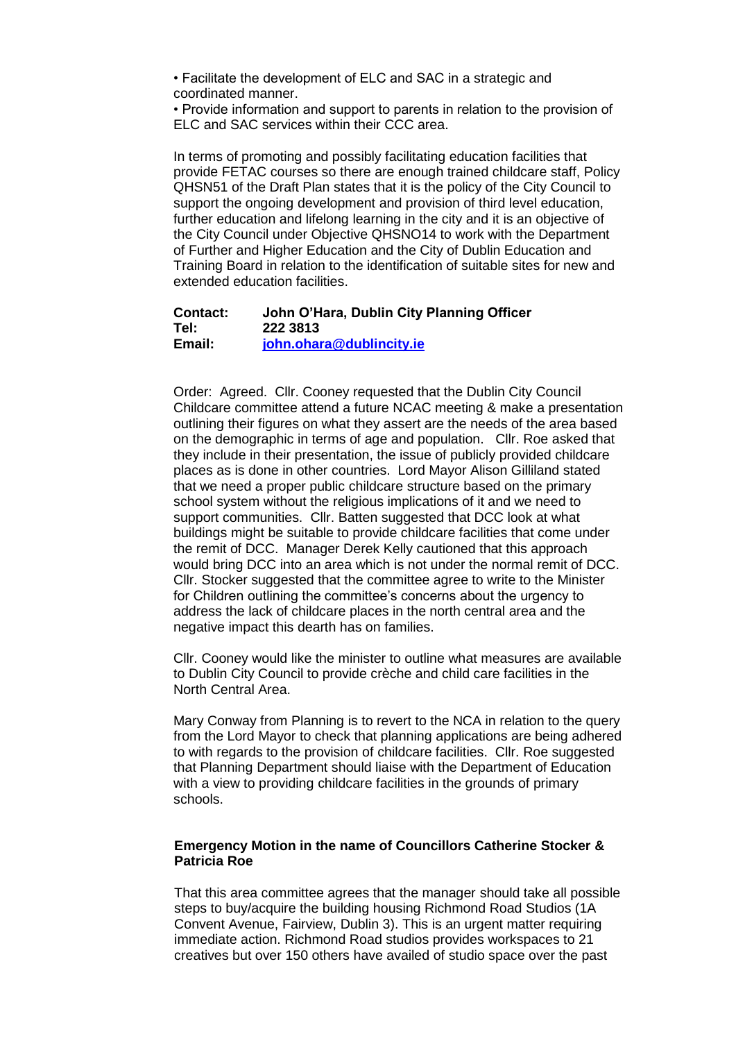• Facilitate the development of ELC and SAC in a strategic and coordinated manner.

• Provide information and support to parents in relation to the provision of ELC and SAC services within their CCC area.

In terms of promoting and possibly facilitating education facilities that provide FETAC courses so there are enough trained childcare staff, Policy QHSN51 of the Draft Plan states that it is the policy of the City Council to support the ongoing development and provision of third level education, further education and lifelong learning in the city and it is an objective of the City Council under Objective QHSNO14 to work with the Department of Further and Higher Education and the City of Dublin Education and Training Board in relation to the identification of suitable sites for new and extended education facilities.

### **Contact: John O'Hara, Dublin City Planning Officer Tel: 222 3813 Email: [john.ohara@dublincity.ie](mailto:john.ohara@dublincity.ie)**

Order: Agreed. Cllr. Cooney requested that the Dublin City Council Childcare committee attend a future NCAC meeting & make a presentation outlining their figures on what they assert are the needs of the area based on the demographic in terms of age and population. Cllr. Roe asked that they include in their presentation, the issue of publicly provided childcare places as is done in other countries. Lord Mayor Alison Gilliland stated that we need a proper public childcare structure based on the primary school system without the religious implications of it and we need to support communities. Cllr. Batten suggested that DCC look at what buildings might be suitable to provide childcare facilities that come under the remit of DCC. Manager Derek Kelly cautioned that this approach would bring DCC into an area which is not under the normal remit of DCC. Cllr. Stocker suggested that the committee agree to write to the Minister for Children outlining the committee's concerns about the urgency to address the lack of childcare places in the north central area and the negative impact this dearth has on families.

Cllr. Cooney would like the minister to outline what measures are available to Dublin City Council to provide crèche and child care facilities in the North Central Area.

Mary Conway from Planning is to revert to the NCA in relation to the query from the Lord Mayor to check that planning applications are being adhered to with regards to the provision of childcare facilities. Cllr. Roe suggested that Planning Department should liaise with the Department of Education with a view to providing childcare facilities in the grounds of primary schools.

### **Emergency Motion in the name of Councillors Catherine Stocker & Patricia Roe**

That this area committee agrees that the manager should take all possible steps to buy/acquire the building housing Richmond Road Studios (1A Convent Avenue, Fairview, Dublin 3). This is an urgent matter requiring immediate action. Richmond Road studios provides workspaces to 21 creatives but over 150 others have availed of studio space over the past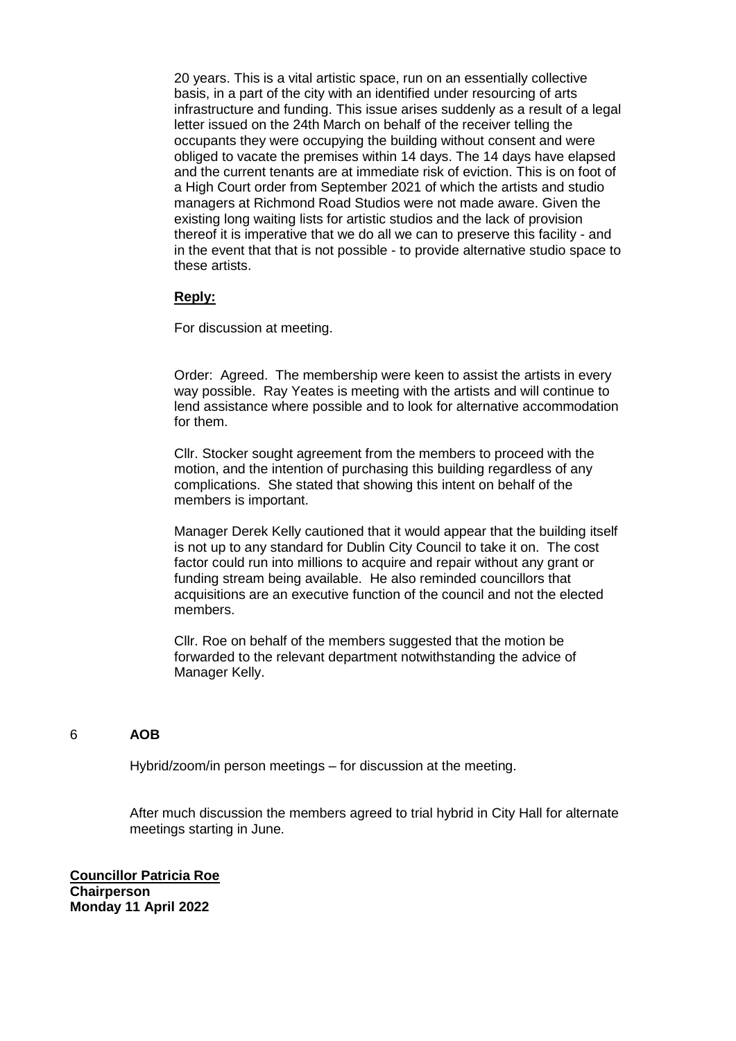20 years. This is a vital artistic space, run on an essentially collective basis, in a part of the city with an identified under resourcing of arts infrastructure and funding. This issue arises suddenly as a result of a legal letter issued on the 24th March on behalf of the receiver telling the occupants they were occupying the building without consent and were obliged to vacate the premises within 14 days. The 14 days have elapsed and the current tenants are at immediate risk of eviction. This is on foot of a High Court order from September 2021 of which the artists and studio managers at Richmond Road Studios were not made aware. Given the existing long waiting lists for artistic studios and the lack of provision thereof it is imperative that we do all we can to preserve this facility - and in the event that that is not possible - to provide alternative studio space to these artists.

## **Reply:**

For discussion at meeting.

Order: Agreed. The membership were keen to assist the artists in every way possible. Ray Yeates is meeting with the artists and will continue to lend assistance where possible and to look for alternative accommodation for them.

Cllr. Stocker sought agreement from the members to proceed with the motion, and the intention of purchasing this building regardless of any complications. She stated that showing this intent on behalf of the members is important.

Manager Derek Kelly cautioned that it would appear that the building itself is not up to any standard for Dublin City Council to take it on. The cost factor could run into millions to acquire and repair without any grant or funding stream being available. He also reminded councillors that acquisitions are an executive function of the council and not the elected members.

Cllr. Roe on behalf of the members suggested that the motion be forwarded to the relevant department notwithstanding the advice of Manager Kelly.

### 6 **AOB**

Hybrid/zoom/in person meetings – for discussion at the meeting.

After much discussion the members agreed to trial hybrid in City Hall for alternate meetings starting in June.

**Councillor Patricia Roe Chairperson Monday 11 April 2022**